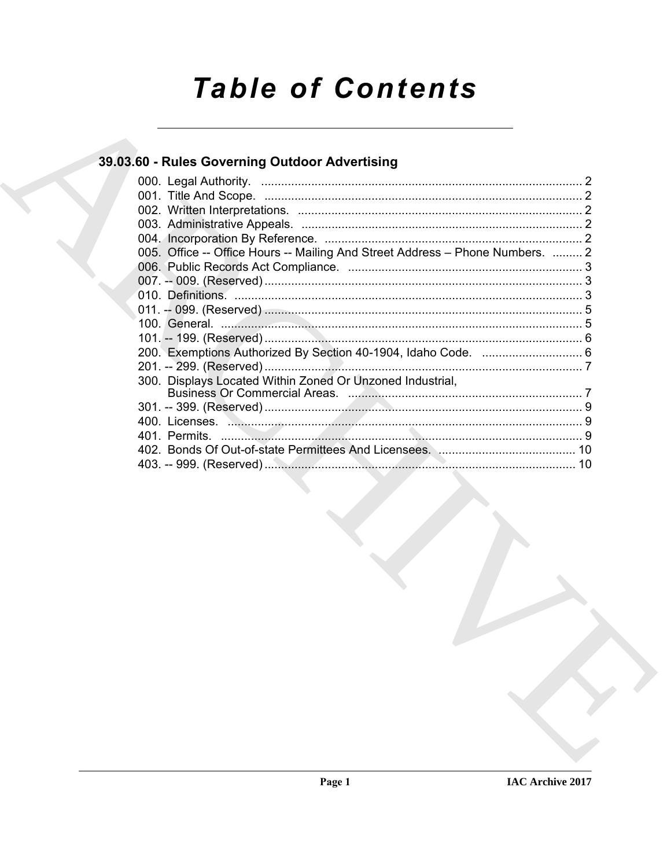# **Table of Contents**

### 39.03.60 - Rules Governing Outdoor Advertising

| 005. Office -- Office Hours -- Mailing And Street Address - Phone Numbers.  2 |  |
|-------------------------------------------------------------------------------|--|
|                                                                               |  |
|                                                                               |  |
|                                                                               |  |
|                                                                               |  |
|                                                                               |  |
|                                                                               |  |
|                                                                               |  |
|                                                                               |  |
| 300. Displays Located Within Zoned Or Unzoned Industrial,                     |  |
|                                                                               |  |
|                                                                               |  |
|                                                                               |  |
|                                                                               |  |
|                                                                               |  |
|                                                                               |  |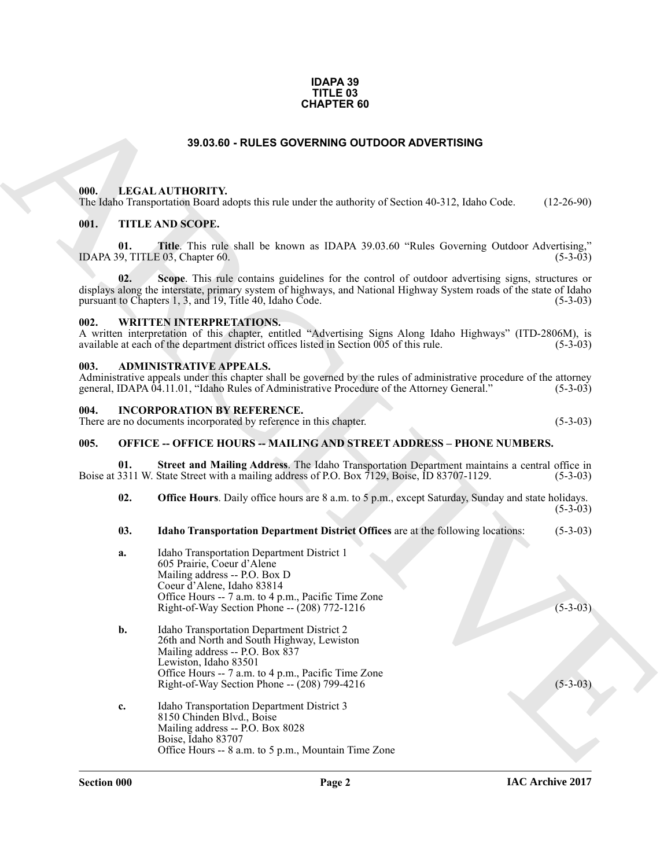### **IDAPA 39 TITLE 03 CHAPTER 60**

### **39.03.60 - RULES GOVERNING OUTDOOR ADVERTISING**

### <span id="page-1-1"></span><span id="page-1-0"></span>**000. LEGAL AUTHORITY.**

### <span id="page-1-2"></span>**001. TITLE AND SCOPE.**

### <span id="page-1-3"></span>**002. WRITTEN INTERPRETATIONS.**

### <span id="page-1-4"></span>**003. ADMINISTRATIVE APPEALS.**

### <span id="page-1-5"></span>**004. INCORPORATION BY REFERENCE.**

### <span id="page-1-6"></span>**005. OFFICE -- OFFICE HOURS -- MAILING AND STREET ADDRESS – PHONE NUMBERS.**

### **03. Idaho Transportation Department District Offices** are at the following locations: (5-3-03)

|                                        | <b>CHAPTER 60</b>                                                                                                                                                                                                                                                                  |              |
|----------------------------------------|------------------------------------------------------------------------------------------------------------------------------------------------------------------------------------------------------------------------------------------------------------------------------------|--------------|
|                                        | 39.03.60 - RULES GOVERNING OUTDOOR ADVERTISING                                                                                                                                                                                                                                     |              |
| 000.                                   | LEGAL AUTHORITY.<br>The Idaho Transportation Board adopts this rule under the authority of Section 40-312, Idaho Code.                                                                                                                                                             | $(12-26-90)$ |
| 001.                                   | <b>TITLE AND SCOPE.</b>                                                                                                                                                                                                                                                            |              |
| 01.<br>IDAPA 39, TITLE 03, Chapter 60. | Title. This rule shall be known as IDAPA 39.03.60 "Rules Governing Outdoor Advertising,"                                                                                                                                                                                           | $(5-3-03)$   |
| 02.                                    | Scope. This rule contains guidelines for the control of outdoor advertising signs, structures or<br>displays along the interstate, primary system of highways, and National Highway System roads of the state of Idaho<br>pursuant to Chapters 1, 3, and 19, Title 40, Idaho Code. | $(5-3-03)$   |
| 002.                                   | <b>WRITTEN INTERPRETATIONS.</b><br>A written interpretation of this chapter, entitled "Advertising Signs Along Idaho Highways" (ITD-2806M), is<br>available at each of the department district offices listed in Section 005 of this rule.                                         | $(5-3-03)$   |
| 003.                                   | <b>ADMINISTRATIVE APPEALS.</b><br>Administrative appeals under this chapter shall be governed by the rules of administrative procedure of the attorney<br>general, IDAPA 04.11.01, "Idaho Rules of Administrative Procedure of the Attorney General."                              | $(5-3-03)$   |
| 004.                                   | <b>INCORPORATION BY REFERENCE.</b><br>There are no documents incorporated by reference in this chapter.                                                                                                                                                                            | $(5-3-03)$   |
| 005.                                   | <b>OFFICE -- OFFICE HOURS -- MAILING AND STREET ADDRESS - PHONE NUMBERS.</b>                                                                                                                                                                                                       |              |
| 01.                                    | Street and Mailing Address. The Idaho Transportation Department maintains a central office in<br>Boise at 3311 W. State Street with a mailing address of P.O. Box 7129, Boise, ID 83707-1129.                                                                                      | $(5-3-03)$   |
| 02.                                    | <b>Office Hours</b> . Daily office hours are 8 a.m. to 5 p.m., except Saturday, Sunday and state holidays.                                                                                                                                                                         | $(5-3-03)$   |
| 03.                                    | Idaho Transportation Department District Offices are at the following locations:                                                                                                                                                                                                   | $(5-3-03)$   |
| a.                                     | Idaho Transportation Department District 1<br>605 Prairie, Coeur d'Alene<br>Mailing address -- P.O. Box D<br>Coeur d'Alene, Idaho 83814<br>Office Hours -- 7 a.m. to 4 p.m., Pacific Time Zone<br>Right-of-Way Section Phone -- (208) 772-1216                                     | $(5-3-03)$   |
| b.                                     | Idaho Transportation Department District 2<br>26th and North and South Highway, Lewiston<br>Mailing address -- P.O. Box 837<br>Lewiston, Idaho 83501<br>Office Hours -- 7 a.m. to 4 p.m., Pacific Time Zone<br>Right-of-Way Section Phone -- (208) 799-4216                        | $(5-3-03)$   |
| c.                                     | Idaho Transportation Department District 3<br>8150 Chinden Blvd., Boise<br>Mailing address -- P.O. Box 8028<br>Boise, Idaho 83707<br>Office Hours -- 8 a.m. to 5 p.m., Mountain Time Zone                                                                                          |              |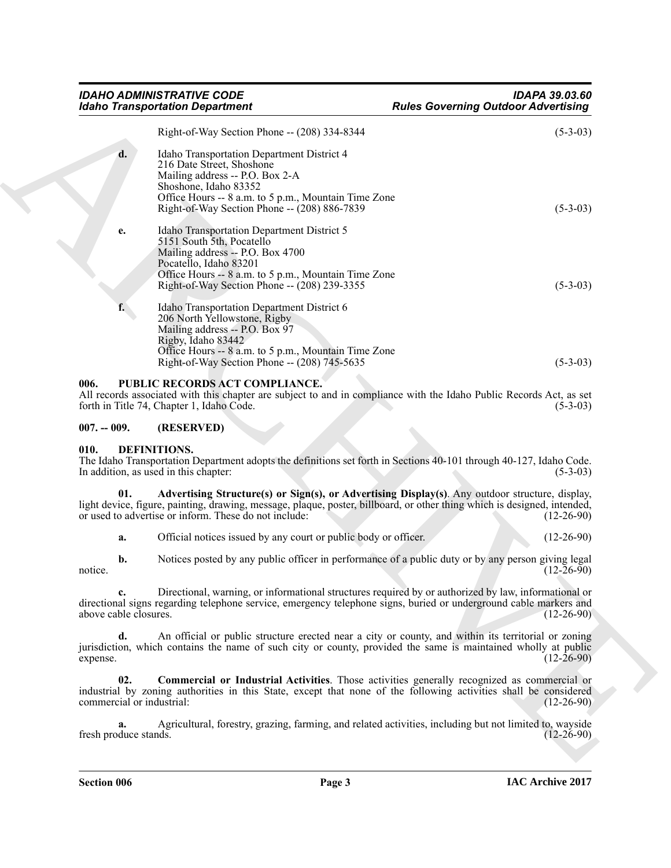| Right-of-Way Section Phone -- (208) 334-8344<br>$\mathbf{d}$ .<br>Idaho Transportation Department District 4<br>216 Date Street, Shoshone<br>Mailing address -- P.O. Box 2-A<br>Shoshone, Idaho 83352<br>Office Hours -- 8 a.m. to 5 p.m., Mountain Time Zone<br>Right-of-Way Section Phone -- (208) 886-7839<br>$(5-3-03)$<br>Idaho Transportation Department District 5<br>e.<br>5151 South 5th, Pocatello<br>Mailing address -- P.O. Box 4700<br>Pocatello, Idaho 83201<br>Office Hours -- 8 a.m. to 5 p.m., Mountain Time Zone<br>Right-of-Way Section Phone -- (208) 239-3355<br>$(5-3-03)$<br>f.<br>Idaho Transportation Department District 6<br>206 North Yellowstone, Rigby<br>Mailing address -- P.O. Box 97<br>Rigby, Idaho 83442<br>Office Hours -- 8 a.m. to 5 p.m., Mountain Time Zone<br>Right-of-Way Section Phone -- (208) 745-5635<br>$(5-3-03)$<br>006.<br>PUBLIC RECORDS ACT COMPLIANCE.<br>All records associated with this chapter are subject to and in compliance with the Idaho Public Records Act, as set<br>forth in Title 74, Chapter 1, Idaho Code.<br>$007. - 009.$<br>(RESERVED)<br>DEFINITIONS.<br>010.<br>The Idaho Transportation Department adopts the definitions set forth in Sections 40-101 through 40-127, Idaho Code.<br>In addition, as used in this chapter:<br>Advertising Structure(s) or Sign(s), or Advertising Display(s). Any outdoor structure, display,<br>01.<br>light device, figure, painting, drawing, message, plaque, poster, billboard, or other thing which is designed, intended,<br>or used to advertise or inform. These do not include:<br>Official notices issued by any court or public body or officer.<br>$(12-26-90)$<br>a.<br>Notices posted by any public officer in performance of a public duty or by any person giving legal<br>$\mathbf{b}$ .<br>$(12-26-90)$<br>notice.<br>Directional, warning, or informational structures required by or authorized by law, informational or<br>directional signs regarding telephone service, emergency telephone signs, buried or underground cable markers and<br>above cable closures.<br>An official or public structure erected near a city or county, and within its territorial or zoning<br>d.<br>jurisdiction, which contains the name of such city or county, provided the same is maintained wholly at public<br>expense.<br>02.<br><b>Commercial or Industrial Activities</b> . Those activities generally recognized as commercial or<br>industrial by zoning authorities in this State, except that none of the following activities shall be considered<br>commercial or industrial:<br>Agricultural, forestry, grazing, farming, and related activities, including but not limited to, wayside<br>a.<br>fresh produce stands. | <b>Idaho Transportation Department</b> | <b>Rules Governing Outdoor Advertising</b> |              |
|--------------------------------------------------------------------------------------------------------------------------------------------------------------------------------------------------------------------------------------------------------------------------------------------------------------------------------------------------------------------------------------------------------------------------------------------------------------------------------------------------------------------------------------------------------------------------------------------------------------------------------------------------------------------------------------------------------------------------------------------------------------------------------------------------------------------------------------------------------------------------------------------------------------------------------------------------------------------------------------------------------------------------------------------------------------------------------------------------------------------------------------------------------------------------------------------------------------------------------------------------------------------------------------------------------------------------------------------------------------------------------------------------------------------------------------------------------------------------------------------------------------------------------------------------------------------------------------------------------------------------------------------------------------------------------------------------------------------------------------------------------------------------------------------------------------------------------------------------------------------------------------------------------------------------------------------------------------------------------------------------------------------------------------------------------------------------------------------------------------------------------------------------------------------------------------------------------------------------------------------------------------------------------------------------------------------------------------------------------------------------------------------------------------------------------------------------------------------------------------------------------------------------------------------------------------------------------------------------------------------------------------------------------------------------------------------------------------------------------------------------------------|----------------------------------------|--------------------------------------------|--------------|
|                                                                                                                                                                                                                                                                                                                                                                                                                                                                                                                                                                                                                                                                                                                                                                                                                                                                                                                                                                                                                                                                                                                                                                                                                                                                                                                                                                                                                                                                                                                                                                                                                                                                                                                                                                                                                                                                                                                                                                                                                                                                                                                                                                                                                                                                                                                                                                                                                                                                                                                                                                                                                                                                                                                                                              |                                        |                                            | $(5-3-03)$   |
|                                                                                                                                                                                                                                                                                                                                                                                                                                                                                                                                                                                                                                                                                                                                                                                                                                                                                                                                                                                                                                                                                                                                                                                                                                                                                                                                                                                                                                                                                                                                                                                                                                                                                                                                                                                                                                                                                                                                                                                                                                                                                                                                                                                                                                                                                                                                                                                                                                                                                                                                                                                                                                                                                                                                                              |                                        |                                            |              |
|                                                                                                                                                                                                                                                                                                                                                                                                                                                                                                                                                                                                                                                                                                                                                                                                                                                                                                                                                                                                                                                                                                                                                                                                                                                                                                                                                                                                                                                                                                                                                                                                                                                                                                                                                                                                                                                                                                                                                                                                                                                                                                                                                                                                                                                                                                                                                                                                                                                                                                                                                                                                                                                                                                                                                              |                                        |                                            |              |
|                                                                                                                                                                                                                                                                                                                                                                                                                                                                                                                                                                                                                                                                                                                                                                                                                                                                                                                                                                                                                                                                                                                                                                                                                                                                                                                                                                                                                                                                                                                                                                                                                                                                                                                                                                                                                                                                                                                                                                                                                                                                                                                                                                                                                                                                                                                                                                                                                                                                                                                                                                                                                                                                                                                                                              |                                        |                                            |              |
|                                                                                                                                                                                                                                                                                                                                                                                                                                                                                                                                                                                                                                                                                                                                                                                                                                                                                                                                                                                                                                                                                                                                                                                                                                                                                                                                                                                                                                                                                                                                                                                                                                                                                                                                                                                                                                                                                                                                                                                                                                                                                                                                                                                                                                                                                                                                                                                                                                                                                                                                                                                                                                                                                                                                                              |                                        |                                            |              |
|                                                                                                                                                                                                                                                                                                                                                                                                                                                                                                                                                                                                                                                                                                                                                                                                                                                                                                                                                                                                                                                                                                                                                                                                                                                                                                                                                                                                                                                                                                                                                                                                                                                                                                                                                                                                                                                                                                                                                                                                                                                                                                                                                                                                                                                                                                                                                                                                                                                                                                                                                                                                                                                                                                                                                              |                                        |                                            |              |
|                                                                                                                                                                                                                                                                                                                                                                                                                                                                                                                                                                                                                                                                                                                                                                                                                                                                                                                                                                                                                                                                                                                                                                                                                                                                                                                                                                                                                                                                                                                                                                                                                                                                                                                                                                                                                                                                                                                                                                                                                                                                                                                                                                                                                                                                                                                                                                                                                                                                                                                                                                                                                                                                                                                                                              |                                        |                                            |              |
|                                                                                                                                                                                                                                                                                                                                                                                                                                                                                                                                                                                                                                                                                                                                                                                                                                                                                                                                                                                                                                                                                                                                                                                                                                                                                                                                                                                                                                                                                                                                                                                                                                                                                                                                                                                                                                                                                                                                                                                                                                                                                                                                                                                                                                                                                                                                                                                                                                                                                                                                                                                                                                                                                                                                                              |                                        |                                            | $(5-3-03)$   |
|                                                                                                                                                                                                                                                                                                                                                                                                                                                                                                                                                                                                                                                                                                                                                                                                                                                                                                                                                                                                                                                                                                                                                                                                                                                                                                                                                                                                                                                                                                                                                                                                                                                                                                                                                                                                                                                                                                                                                                                                                                                                                                                                                                                                                                                                                                                                                                                                                                                                                                                                                                                                                                                                                                                                                              |                                        |                                            |              |
|                                                                                                                                                                                                                                                                                                                                                                                                                                                                                                                                                                                                                                                                                                                                                                                                                                                                                                                                                                                                                                                                                                                                                                                                                                                                                                                                                                                                                                                                                                                                                                                                                                                                                                                                                                                                                                                                                                                                                                                                                                                                                                                                                                                                                                                                                                                                                                                                                                                                                                                                                                                                                                                                                                                                                              |                                        |                                            | $(5-3-03)$   |
|                                                                                                                                                                                                                                                                                                                                                                                                                                                                                                                                                                                                                                                                                                                                                                                                                                                                                                                                                                                                                                                                                                                                                                                                                                                                                                                                                                                                                                                                                                                                                                                                                                                                                                                                                                                                                                                                                                                                                                                                                                                                                                                                                                                                                                                                                                                                                                                                                                                                                                                                                                                                                                                                                                                                                              |                                        |                                            | $(12-26-90)$ |
|                                                                                                                                                                                                                                                                                                                                                                                                                                                                                                                                                                                                                                                                                                                                                                                                                                                                                                                                                                                                                                                                                                                                                                                                                                                                                                                                                                                                                                                                                                                                                                                                                                                                                                                                                                                                                                                                                                                                                                                                                                                                                                                                                                                                                                                                                                                                                                                                                                                                                                                                                                                                                                                                                                                                                              |                                        |                                            |              |
|                                                                                                                                                                                                                                                                                                                                                                                                                                                                                                                                                                                                                                                                                                                                                                                                                                                                                                                                                                                                                                                                                                                                                                                                                                                                                                                                                                                                                                                                                                                                                                                                                                                                                                                                                                                                                                                                                                                                                                                                                                                                                                                                                                                                                                                                                                                                                                                                                                                                                                                                                                                                                                                                                                                                                              |                                        |                                            |              |
|                                                                                                                                                                                                                                                                                                                                                                                                                                                                                                                                                                                                                                                                                                                                                                                                                                                                                                                                                                                                                                                                                                                                                                                                                                                                                                                                                                                                                                                                                                                                                                                                                                                                                                                                                                                                                                                                                                                                                                                                                                                                                                                                                                                                                                                                                                                                                                                                                                                                                                                                                                                                                                                                                                                                                              |                                        |                                            | $(12-26-90)$ |
|                                                                                                                                                                                                                                                                                                                                                                                                                                                                                                                                                                                                                                                                                                                                                                                                                                                                                                                                                                                                                                                                                                                                                                                                                                                                                                                                                                                                                                                                                                                                                                                                                                                                                                                                                                                                                                                                                                                                                                                                                                                                                                                                                                                                                                                                                                                                                                                                                                                                                                                                                                                                                                                                                                                                                              |                                        |                                            | $(12-26-90)$ |
|                                                                                                                                                                                                                                                                                                                                                                                                                                                                                                                                                                                                                                                                                                                                                                                                                                                                                                                                                                                                                                                                                                                                                                                                                                                                                                                                                                                                                                                                                                                                                                                                                                                                                                                                                                                                                                                                                                                                                                                                                                                                                                                                                                                                                                                                                                                                                                                                                                                                                                                                                                                                                                                                                                                                                              |                                        |                                            | $(12-26-90)$ |
|                                                                                                                                                                                                                                                                                                                                                                                                                                                                                                                                                                                                                                                                                                                                                                                                                                                                                                                                                                                                                                                                                                                                                                                                                                                                                                                                                                                                                                                                                                                                                                                                                                                                                                                                                                                                                                                                                                                                                                                                                                                                                                                                                                                                                                                                                                                                                                                                                                                                                                                                                                                                                                                                                                                                                              |                                        |                                            | $(12-26-90)$ |
|                                                                                                                                                                                                                                                                                                                                                                                                                                                                                                                                                                                                                                                                                                                                                                                                                                                                                                                                                                                                                                                                                                                                                                                                                                                                                                                                                                                                                                                                                                                                                                                                                                                                                                                                                                                                                                                                                                                                                                                                                                                                                                                                                                                                                                                                                                                                                                                                                                                                                                                                                                                                                                                                                                                                                              |                                        |                                            |              |

### <span id="page-2-0"></span>**006. PUBLIC RECORDS ACT COMPLIANCE.**

### <span id="page-2-1"></span>**007. -- 009. (RESERVED)**

### <span id="page-2-5"></span><span id="page-2-4"></span><span id="page-2-3"></span><span id="page-2-2"></span>**010. DEFINITIONS.**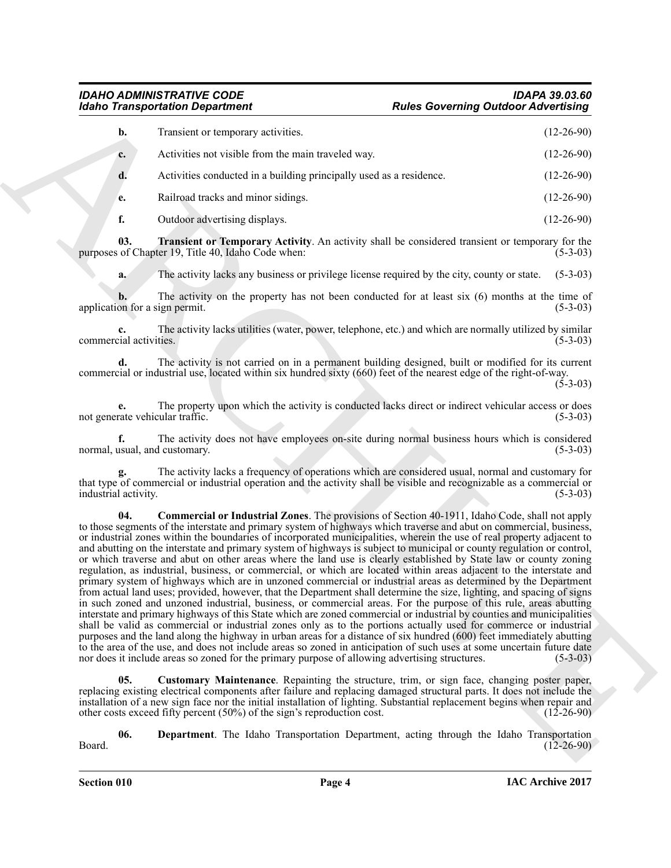### *IDAHO ADMINISTRATIVE CODE IDAPA 39.03.60 Rules Governing Outdoor Advertising*

| b.          | Transient or temporary activities.                                  | $(12-26-90)$ |
|-------------|---------------------------------------------------------------------|--------------|
| $c_{\cdot}$ | Activities not visible from the main traveled way.                  | $(12-26-90)$ |
| d.          | Activities conducted in a building principally used as a residence. | $(12-26-90)$ |
| e.          | Railroad tracks and minor sidings.                                  | $(12-26-90)$ |

<span id="page-3-3"></span>**f.** Outdoor advertising displays. (12-26-90)

**03. Transient or Temporary Activity**. An activity shall be considered transient or temporary for the of Chapter 19, Title 40, Idaho Code when: (5-3-03) purposes of Chapter 19, Title 40, Idaho Code when:

**a.** The activity lacks any business or privilege license required by the city, county or state. (5-3-03)

**b.** The activity on the property has not been conducted for at least six (6) months at the time of on for a sign permit. (5-3-03) application for a sign permit.

**c.** The activity lacks utilities (water, power, telephone, etc.) and which are normally utilized by similar (5-3-03) commercial activities.

**d.** The activity is not carried on in a permanent building designed, built or modified for its current commercial or industrial use, located within six hundred sixty (660) feet of the nearest edge of the right-of-way.

(5-3-03)

**e.** The property upon which the activity is conducted lacks direct or indirect vehicular access or does rate vehicular traffic. (5-3-03) not generate vehicular traffic.

**f.** The activity does not have employees on-site during normal business hours which is considered usual, and customary. (5-3-03) normal, usual, and customary.

<span id="page-3-0"></span>**g.** The activity lacks a frequency of operations which are considered usual, normal and customary for that type of commercial or industrial operation and the activity shall be visible and recognizable as a commercial or industrial activity. (5-3-03)

For the Tanks and Tanks are not the same of the same of the same of the same of the same of the same of the same of the same of the same of the same of the same of the same of the same of the same of the same of the same **04. Commercial or Industrial Zones**. The provisions of Section 40-1911, Idaho Code, shall not apply to those segments of the interstate and primary system of highways which traverse and abut on commercial, business, or industrial zones within the boundaries of incorporated municipalities, wherein the use of real property adjacent to and abutting on the interstate and primary system of highways is subject to municipal or county regulation or control, or which traverse and abut on other areas where the land use is clearly established by State law or county zoning regulation, as industrial, business, or commercial, or which are located within areas adjacent to the interstate and primary system of highways which are in unzoned commercial or industrial areas as determined by the Department from actual land uses; provided, however, that the Department shall determine the size, lighting, and spacing of signs in such zoned and unzoned industrial, business, or commercial areas. For the purpose of this rule, areas abutting interstate and primary highways of this State which are zoned commercial or industrial by counties and municipalities shall be valid as commercial or industrial zones only as to the portions actually used for commerce or industrial purposes and the land along the highway in urban areas for a distance of six hundred (600) feet immediately abutting to the area of the use, and does not include areas so zoned in anticipation of such uses at some uncertain future date nor does it include areas so zoned for the primary purpose of allowing advertising structures. (5-3-03)

<span id="page-3-1"></span>**05. Customary Maintenance**. Repainting the structure, trim, or sign face, changing poster paper, replacing existing electrical components after failure and replacing damaged structural parts. It does not include the installation of a new sign face nor the initial installation of lighting. Substantial replacement begins when repair and other costs exceed fifty percent (50%) of the sign's reproduction cost. (12-26-90) other costs exceed fifty percent  $(50\%)$  of the sign's reproduction cost.

<span id="page-3-2"></span>**06.** Department. The Idaho Transportation Department, acting through the Idaho Transportation (12-26-90) Board. (12-26-90)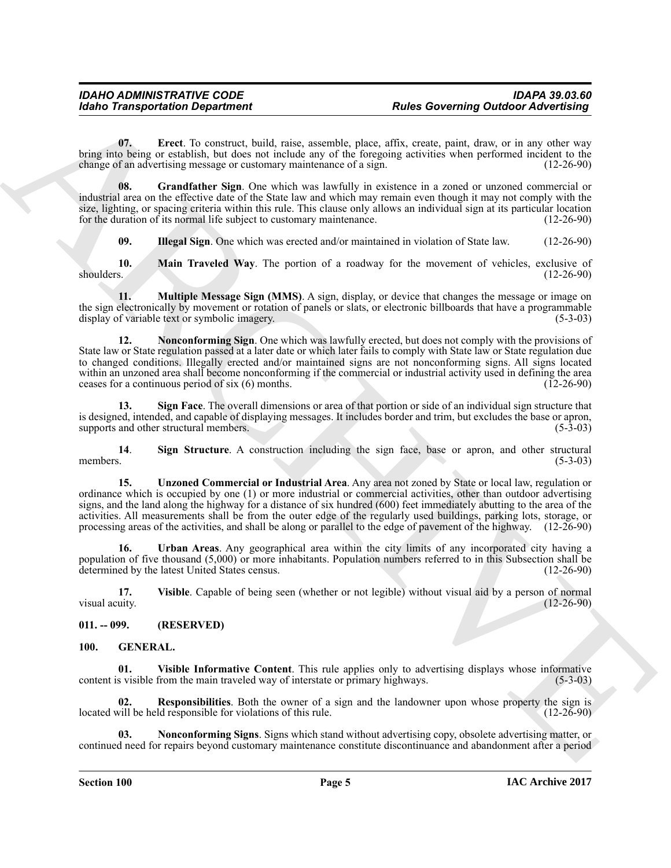<span id="page-4-2"></span>**07. Erect**. To construct, build, raise, assemble, place, affix, create, paint, draw, or in any other way bring into being or establish, but does not include any of the foregoing activities when performed incident to the change of an advertising message or customary maintenance of a sign. (12-26-90) change of an advertising message or customary maintenance of a sign.

**08.** Grandfather Sign. One which was lawfully in existence in a zoned or unzoned commercial or industrial area on the effective date of the State law and which may remain even though it may not comply with the size, lighting, or spacing criteria within this rule. This clause only allows an individual sign at its particular location<br>for the duration of its normal life subject to customary maintenance. for the duration of its normal life subject to customary maintenance.

<span id="page-4-6"></span><span id="page-4-5"></span><span id="page-4-4"></span><span id="page-4-3"></span>**09. Illegal Sign**. One which was erected and/or maintained in violation of State law. (12-26-90)

**10.** Main Traveled Way. The portion of a roadway for the movement of vehicles, exclusive of shoulders. (12-26-90) shoulders. (12-26-90)

<span id="page-4-7"></span>**11.** Multiple Message Sign (MMS). A sign, display, or device that changes the message or image on the sign electronically by movement or rotation of panels or slats, or electronic billboards that have a programmable display of variable text or symbolic imagery. display of variable text or symbolic imagery.

For the Taxe is a counterty of the same of the same of the same of the same of the same of the same of the same of the same of the same of the same of the same of the same of the same of the same of the same of the same o **12. Nonconforming Sign**. One which was lawfully erected, but does not comply with the provisions of State law or State regulation passed at a later date or which later fails to comply with State law or State regulation due to changed conditions. Illegally erected and/or maintained signs are not nonconforming signs. All signs located within an unzoned area shall become nonconforming if the commercial or industrial activity used in defining the area<br>ceases for a continuous period of six (6) months. (12-26-90) ceases for a continuous period of six  $(6)$  months.

<span id="page-4-8"></span>**13. Sign Face**. The overall dimensions or area of that portion or side of an individual sign structure that is designed, intended, and capable of displaying messages. It includes border and trim, but excludes the base or apron, supports and other structural members.

<span id="page-4-9"></span>**14. Sign Structure**. A construction including the sign face, base or apron, and other structural members. (5-3-03) members.  $(5-3-03)$ 

<span id="page-4-10"></span>**15. Unzoned Commercial or Industrial Area**. Any area not zoned by State or local law, regulation or ordinance which is occupied by one (1) or more industrial or commercial activities, other than outdoor advertising signs, and the land along the highway for a distance of six hundred (600) feet immediately abutting to the area of the activities. All measurements shall be from the outer edge of the regularly used buildings, parking lots, storage, or processing areas of the activities, and shall be along or parallel to the edge of pavement of the highway. (12-26-90)

<span id="page-4-11"></span>**16. Urban Areas**. Any geographical area within the city limits of any incorporated city having a population of five thousand (5,000) or more inhabitants. Population numbers referred to in this Subsection shall be determined by the latest United States census. determined by the latest United States census.

<span id="page-4-12"></span>**17. Visible**. Capable of being seen (whether or not legible) without visual aid by a person of normal visual acuity.

### <span id="page-4-0"></span>**011. -- 099. (RESERVED)**

### <span id="page-4-16"></span><span id="page-4-13"></span><span id="page-4-1"></span>**100. GENERAL.**

**01.** Visible Informative Content. This rule applies only to advertising displays whose informative s visible from the main traveled way of interstate or primary highways. (5-3-03) content is visible from the main traveled way of interstate or primary highways.

<span id="page-4-15"></span>**02. Responsibilities**. Both the owner of a sign and the landowner upon whose property the sign is will be held responsible for violations of this rule. (12-26-90) located will be held responsible for violations of this rule.

<span id="page-4-14"></span>**03. Nonconforming Signs**. Signs which stand without advertising copy, obsolete advertising matter, or continued need for repairs beyond customary maintenance constitute discontinuance and abandonment after a period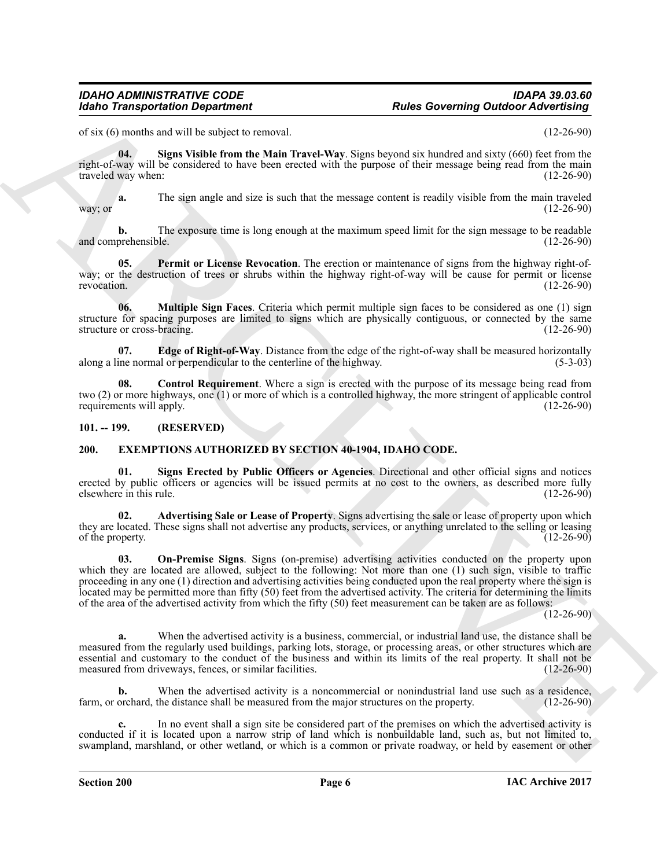### *IDAHO ADMINISTRATIVE CODE IDAPA 39.03.60 Rules Governing Outdoor Advertising*

of six (6) months and will be subject to removal. (12-26-90)

<span id="page-5-10"></span>**04. Signs Visible from the Main Travel-Way**. Signs beyond six hundred and sixty (660) feet from the right-of-way will be considered to have been erected with the purpose of their message being read from the main traveled way when: (12-26-90)

**a.** The sign angle and size is such that the message content is readily visible from the main traveled (12-26-90) way; or  $(12-26-90)$ 

**b.** The exposure time is long enough at the maximum speed limit for the sign message to be readable prehensible. (12-26-90) and comprehensible.

<span id="page-5-9"></span>**05. Permit or License Revocation**. The erection or maintenance of signs from the highway right-ofway; or the destruction of trees or shrubs within the highway right-of-way will be cause for permit or license revocation. (12-26-90) revocation. (12-26-90)

<span id="page-5-8"></span>**06. Multiple Sign Faces**. Criteria which permit multiple sign faces to be considered as one (1) sign structure for spacing purposes are limited to signs which are physically contiguous, or connected by the same structure or cross-bracing. (12-26-90)

<span id="page-5-7"></span>**07. Edge of Right-of-Way**. Distance from the edge of the right-of-way shall be measured horizontally ine normal or perpendicular to the centerline of the highway. (5-3-03) along a line normal or perpendicular to the centerline of the highway.

<span id="page-5-6"></span>**08.** Control Requirement. Where a sign is erected with the purpose of its message being read from two (2) or more highways, one (1) or more of which is a controlled highway, the more stringent of applicable control requirements will apply.

### <span id="page-5-0"></span>**101. -- 199. (RESERVED)**

### <span id="page-5-2"></span><span id="page-5-1"></span>**200. EXEMPTIONS AUTHORIZED BY SECTION 40-1904, IDAHO CODE.**

<span id="page-5-5"></span>**01. Signs Erected by Public Officers or Agencies**. Directional and other official signs and notices erected by public officers or agencies will be issued permits at no cost to the owners, as described more fully elsewhere in this rule. (12-26-90) elsewhere in this rule.

<span id="page-5-4"></span><span id="page-5-3"></span>**02. Advertising Sale or Lease of Property**. Signs advertising the sale or lease of property upon which they are located. These signs shall not advertise any products, services, or anything unrelated to the selling or leasing of the property. (12-26-90) of the property.

For the same set of the same term is a transmission of the Coverning Outdoor Zaiversing<br>
Column and the same velocity of the same velocity of the same velocity of the same velocity of the same velocity of the same velocit **03. On-Premise Signs**. Signs (on-premise) advertising activities conducted on the property upon which they are located are allowed, subject to the following: Not more than one (1) such sign, visible to traffic proceeding in any one (1) direction and advertising activities being conducted upon the real property where the sign is located may be permitted more than fifty (50) feet from the advertised activity. The criteria for determining the limits of the area of the advertised activity from which the fifty (50) feet measurement can be taken are as follows:

 $(12-26-90)$ 

**a.** When the advertised activity is a business, commercial, or industrial land use, the distance shall be measured from the regularly used buildings, parking lots, storage, or processing areas, or other structures which are essential and customary to the conduct of the business and within its limits of the real property. It shall not be measured from driveways, fences, or similar facilities. (12-26-90) measured from driveways, fences, or similar facilities.

**b.** When the advertised activity is a noncommercial or nonindustrial land use such as a residence, orchard, the distance shall be measured from the major structures on the property. (12-26-90) farm, or orchard, the distance shall be measured from the major structures on the property.

**c.** In no event shall a sign site be considered part of the premises on which the advertised activity is conducted if it is located upon a narrow strip of land which is nonbuildable land, such as, but not limited to, swampland, marshland, or other wetland, or which is a common or private roadway, or held by easement or other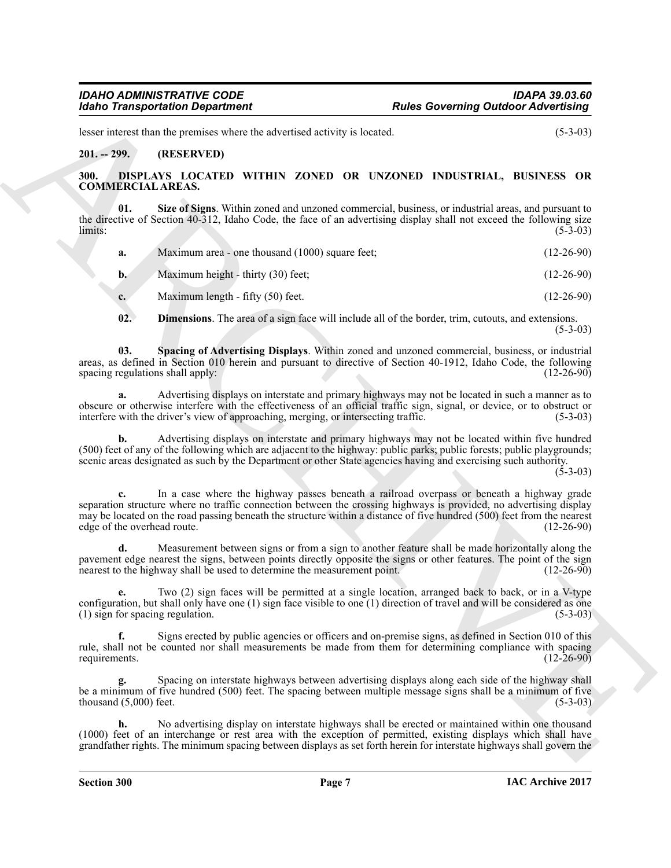### <span id="page-6-0"></span>**201. -- 299. (RESERVED)**

### <span id="page-6-5"></span><span id="page-6-4"></span><span id="page-6-3"></span><span id="page-6-2"></span><span id="page-6-1"></span>**300. DISPLAYS LOCATED WITHIN ZONED OR UNZONED INDUSTRIAL, BUSINESS OR COMMERCIAL AREAS.**

| <b>Idaho Transportation Department</b>                                                                               | <b>Rules Governing Outdoor Advertising</b>                                                                                                                                                                                                                                                                                                                 |
|----------------------------------------------------------------------------------------------------------------------|------------------------------------------------------------------------------------------------------------------------------------------------------------------------------------------------------------------------------------------------------------------------------------------------------------------------------------------------------------|
| lesser interest than the premises where the advertised activity is located.                                          | $(5-3-03)$                                                                                                                                                                                                                                                                                                                                                 |
| $201. - 299.$<br>(RESERVED)                                                                                          |                                                                                                                                                                                                                                                                                                                                                            |
| 300.<br><b>COMMERCIAL AREAS.</b>                                                                                     | DISPLAYS LOCATED WITHIN ZONED OR UNZONED INDUSTRIAL, BUSINESS OR                                                                                                                                                                                                                                                                                           |
| 01.<br>limits:                                                                                                       | Size of Signs. Within zoned and unzoned commercial, business, or industrial areas, and pursuant to<br>the directive of Section 40-312, Idaho Code, the face of an advertising display shall not exceed the following size<br>$(5-3-03)$                                                                                                                    |
| Maximum area - one thousand (1000) square feet;<br>a.                                                                | $(12-26-90)$                                                                                                                                                                                                                                                                                                                                               |
| Maximum height - thirty (30) feet;<br>$\mathbf{b}$ .                                                                 | $(12-26-90)$                                                                                                                                                                                                                                                                                                                                               |
| Maximum length - fifty (50) feet.<br>$c_{\cdot}$                                                                     | $(12-26-90)$                                                                                                                                                                                                                                                                                                                                               |
| 02.                                                                                                                  | <b>Dimensions</b> . The area of a sign face will include all of the border, trim, cutouts, and extensions.<br>$(5-3-03)$                                                                                                                                                                                                                                   |
| 03.<br>spacing regulations shall apply:                                                                              | Spacing of Advertising Displays. Within zoned and unzoned commercial, business, or industrial<br>areas, as defined in Section 010 herein and pursuant to directive of Section 40-1912, Idaho Code, the following<br>$(12-26-90)$                                                                                                                           |
| interfere with the driver's view of approaching, merging, or intersecting traffic.                                   | Advertising displays on interstate and primary highways may not be located in such a manner as to<br>obscure or otherwise interfere with the effectiveness of an official traffic sign, signal, or device, or to obstruct or<br>$(5-3-03)$                                                                                                                 |
| b.                                                                                                                   | Advertising displays on interstate and primary highways may not be located within five hundred<br>(500) feet of any of the following which are adjacent to the highway: public parks; public forests; public playgrounds;<br>scenic areas designated as such by the Department or other State agencies having and exercising such authority.<br>$(5-3-03)$ |
| c.<br>edge of the overhead route.                                                                                    | In a case where the highway passes beneath a railroad overpass or beneath a highway grade<br>separation structure where no traffic connection between the crossing highways is provided, no advertising display<br>may be located on the road passing beneath the structure within a distance of five hundred (500) feet from the nearest<br>$(12-26-90)$  |
| d.<br>nearest to the highway shall be used to determine the measurement point.                                       | Measurement between signs or from a sign to another feature shall be made horizontally along the<br>pavement edge nearest the signs, between points directly opposite the signs or other features. The point of the sign<br>$(12-26-90)$                                                                                                                   |
| (1) sign for spacing regulation.                                                                                     | Two (2) sign faces will be permitted at a single location, arranged back to back, or in a V-type<br>configuration, but shall only have one $(1)$ sign face visible to one $(1)$ direction of travel and will be considered as one<br>$(5-3-03)$                                                                                                            |
| f.<br>requirements.                                                                                                  | Signs erected by public agencies or officers and on-premise signs, as defined in Section 010 of this<br>rule, shall not be counted nor shall measurements be made from them for determining compliance with spacing<br>$(12-26-90)$                                                                                                                        |
| thousand $(5,000)$ feet.                                                                                             | Spacing on interstate highways between advertising displays along each side of the highway shall<br>be a minimum of five hundred (500) feet. The spacing between multiple message signs shall be a minimum of five<br>$(5-3-03)$                                                                                                                           |
| h.<br>(1000) feet of an interchange or rest area with the exception of permitted, existing displays which shall have | No advertising display on interstate highways shall be erected or maintained within one thousand                                                                                                                                                                                                                                                           |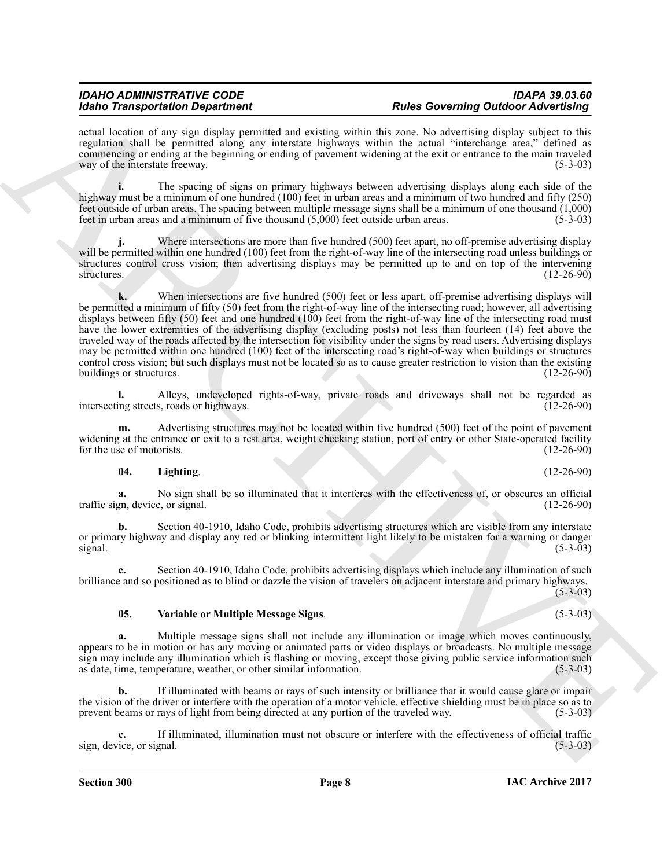actual location of any sign display permitted and existing within this zone. No advertising display subject to this regulation shall be permitted along any interstate highways within the actual "interchange area," defined as commencing or ending at the beginning or ending of pavement widening at the exit or entrance to the main traveled way of the interstate freeway. (5-3-03)

**i.** The spacing of signs on primary highways between advertising displays along each side of the highway must be a minimum of one hundred (100) feet in urban areas and a minimum of two hundred and fifty (250) feet outside of urban areas. The spacing between multiple message signs shall be a minimum of one thousand (1,000) feet in urban areas and a minimum of five thousand (5,000) feet outside urban areas. (5-3-03)

**j.** Where intersections are more than five hundred (500) feet apart, no off-premise advertising display will be permitted within one hundred (100) feet from the right-of-way line of the intersecting road unless buildings or structures control cross vision; then advertising displays may be permitted up to and on top of the intervening structures. (12-26-90) structures. (12-26-90)

For Tarapachinos Department<br>
Scholars and the state of the state of the state of the state of the state of the state of the state<br>
results are equilibrium to the state of the state of the state of the state of the state<br> **k.** When intersections are five hundred (500) feet or less apart, off-premise advertising displays will be permitted a minimum of fifty (50) feet from the right-of-way line of the intersecting road; however, all advertising displays between fifty (50) feet and one hundred (100) feet from the right-of-way line of the intersecting road must have the lower extremities of the advertising display (excluding posts) not less than fourteen (14) feet above the traveled way of the roads affected by the intersection for visibility under the signs by road users. Advertising displays may be permitted within one hundred (100) feet of the intersecting road's right-of-way when buildings or structures control cross vision; but such displays must not be located so as to cause greater restriction to vision than the existing buildings or structures.

**l.** Alleys, undeveloped rights-of-way, private roads and driveways shall not be regarded as ing streets roads or highways. (12-26-90) intersecting streets, roads or highways.

**m.** Advertising structures may not be located within five hundred (500) feet of the point of pavement widening at the entrance or exit to a rest area, weight checking station, port of entry or other State-operated facility for the use of motorists. (12-26-90) for the use of motorists.

### <span id="page-7-0"></span>**04. Lighting**. (12-26-90)

No sign shall be so illuminated that it interferes with the effectiveness of, or obscures an official e, or signal. (12-26-90) traffic sign, device, or signal.

**b.** Section 40-1910, Idaho Code, prohibits advertising structures which are visible from any interstate or primary highway and display any red or blinking intermittent light likely to be mistaken for a warning or danger  $signal$ . (5-3-03)

**c.** Section 40-1910, Idaho Code, prohibits advertising displays which include any illumination of such brilliance and so positioned as to blind or dazzle the vision of travelers on adjacent interstate and primary highways. (5-3-03)

### <span id="page-7-1"></span>**05. Variable or Multiple Message Signs**. (5-3-03)

**a.** Multiple message signs shall not include any illumination or image which moves continuously, appears to be in motion or has any moving or animated parts or video displays or broadcasts. No multiple message sign may include any illumination which is flashing or moving, except those giving public service information such as date, time, temperature, weather, or other similar information. (5-3-03) as date, time, temperature, weather, or other similar information.

**b.** If illuminated with beams or rays of such intensity or brilliance that it would cause glare or impair the vision of the driver or interfere with the operation of a motor vehicle, effective shielding must be in place so as to prevent beams or rays of light from being directed at any portion of the traveled way. (5-3-03)

**c.** If illuminated, illumination must not obscure or interfere with the effectiveness of official trafficie, or signal. (5-3-03) sign, device, or signal.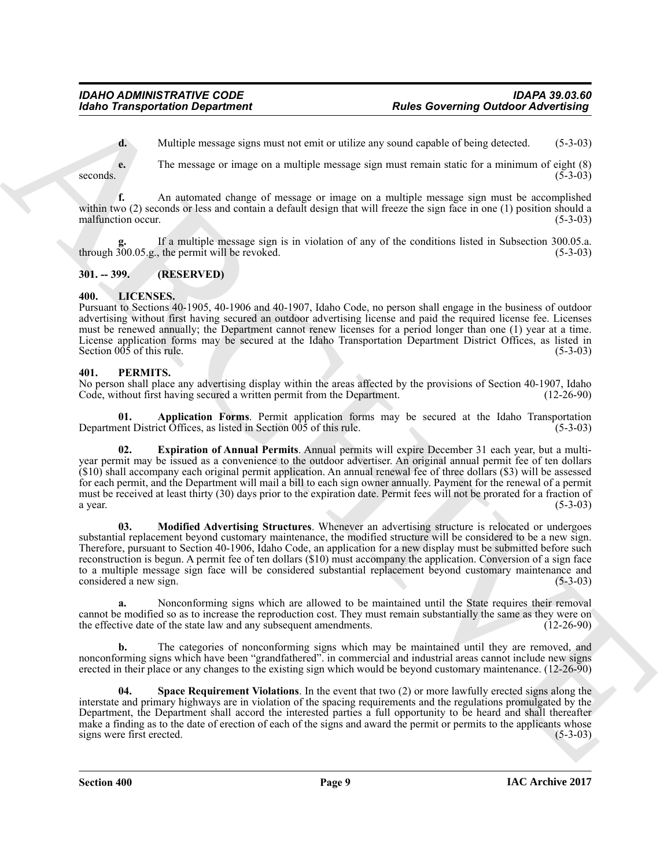**d.** Multiple message signs must not emit or utilize any sound capable of being detected. (5-3-03)

**e.** The message or image on a multiple message sign must remain static for a minimum of eight (8) seconds.  $(5-3-03)$ 

**f.** An automated change of message or image on a multiple message sign must be accomplished within two (2) seconds or less and contain a default design that will freeze the sign face in one (1) position should a malfunction occur. (5-3-03)

If a multiple message sign is in violation of any of the conditions listed in Subsection 300.05.a.<br>the permit will be revoked. (5-3-03) through  $300.05$ .g., the permit will be revoked.

### <span id="page-8-0"></span>**301. -- 399. (RESERVED)**

### <span id="page-8-3"></span><span id="page-8-1"></span>**400. LICENSES.**

Pursuant to Sections 40-1905, 40-1906 and 40-1907, Idaho Code, no person shall engage in the business of outdoor advertising without first having secured an outdoor advertising license and paid the required license fee. Licenses must be renewed annually; the Department cannot renew licenses for a period longer than one (1) year at a time. License application forms may be secured at the Idaho Transportation Department District Offices, as listed in Section  $005$  of this rule. (5-3-03)

### <span id="page-8-4"></span><span id="page-8-2"></span>**401. PERMITS.**

No person shall place any advertising display within the areas affected by the provisions of Section 40-1907, Idaho Code, without first having secured a written permit from the Department. (12-26-90)

<span id="page-8-5"></span>**01. Application Forms**. Permit application forms may be secured at the Idaho Transportation ent District Offices, as listed in Section 005 of this rule. (5-3-03) Department District Offices, as listed in Section  $005$  of this rule.

<span id="page-8-7"></span><span id="page-8-6"></span>**02. Expiration of Annual Permits**. Annual permits will expire December 31 each year, but a multiyear permit may be issued as a convenience to the outdoor advertiser. An original annual permit fee of ten dollars (\$10) shall accompany each original permit application. An annual renewal fee of three dollars (\$3) will be assessed for each permit, and the Department will mail a bill to each sign owner annually. Payment for the renewal of a permit must be received at least thirty (30) days prior to the expiration date. Permit fees will not be prorated for a fraction of a year. (5-3-03) a year.  $(5-3-03)$ 

For the Transportation Department<br>
Archive a consistent manner can be exactly as the constraint of the constraints of the state of the state of the state of the state of the state of the state of the state of the state of **03. Modified Advertising Structures**. Whenever an advertising structure is relocated or undergoes substantial replacement beyond customary maintenance, the modified structure will be considered to be a new sign. Therefore, pursuant to Section 40-1906, Idaho Code, an application for a new display must be submitted before such reconstruction is begun. A permit fee of ten dollars (\$10) must accompany the application. Conversion of a sign face to a multiple message sign face will be considered substantial replacement beyond customary maintenance and considered a new sign. (5-3-03)

**a.** Nonconforming signs which are allowed to be maintained until the State requires their removal cannot be modified so as to increase the reproduction cost. They must remain substantially the same as they were on the effective date of the state law and any subsequent amendments. (12-26-90) the effective date of the state law and any subsequent amendments.

**b.** The categories of nonconforming signs which may be maintained until they are removed, and nonconforming signs which have been "grandfathered". in commercial and industrial areas cannot include new signs erected in their place or any changes to the existing sign which would be beyond customary maintenance. (12-26-90)

<span id="page-8-8"></span>**Space Requirement Violations**. In the event that two (2) or more lawfully erected signs along the interstate and primary highways are in violation of the spacing requirements and the regulations promulgated by the Department, the Department shall accord the interested parties a full opportunity to be heard and shall thereafter make a finding as to the date of erection of each of the signs and award the permit or permits to the applicants whose signs were first erected. (5-3-03) signs were first erected.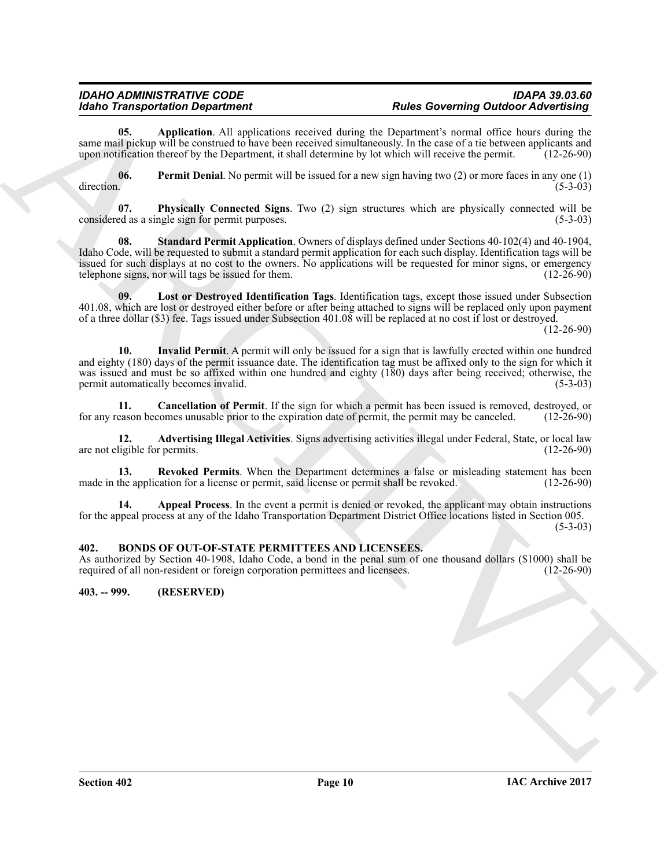### *IDAHO ADMINISTRATIVE CODE IDAPA 39.03.60 Rules Governing Outdoor Advertising*

<span id="page-9-5"></span>**05. Application**. All applications received during the Department's normal office hours during the same mail pickup will be construed to have been received simultaneously. In the case of a tie between applicants and upon notification thereof by the Department, it shall determine by lot which will receive the permit. (12-26-90)

<span id="page-9-9"></span>**06.** Permit Denial. No permit will be issued for a new sign having two (2) or more faces in any one (1) direction.  $\mu$  direction.  $(5-3-03)$ 

<span id="page-9-12"></span><span id="page-9-10"></span>**07. Physically Connected Signs**. Two (2) sign structures which are physically connected will be considered as a single sign for permit purposes. (5-3-03)

**Example the Constraints of the Constraints of the Constraints of the Constraints of the Constraints of the Constraints of the Constraints of the Constraints of the Constraints of the Constraints of the Constraints of th 08. Standard Permit Application**. Owners of displays defined under Sections 40-102(4) and 40-1904, Idaho Code, will be requested to submit a standard permit application for each such display. Identification tags will be issued for such displays at no cost to the owners. No applications will be requested for minor signs, or emergency telephone signs, nor will tags be issued for them. telephone signs, nor will tags be issued for them.

<span id="page-9-8"></span>**09. Lost or Destroyed Identification Tags**. Identification tags, except those issued under Subsection 401.08, which are lost or destroyed either before or after being attached to signs will be replaced only upon payment of a three dollar (\$3) fee. Tags issued under Subsection 401.08 will be replaced at no cost if lost or destroyed.

(12-26-90)

<span id="page-9-7"></span>**10. Invalid Permit**. A permit will only be issued for a sign that is lawfully erected within one hundred and eighty (180) days of the permit issuance date. The identification tag must be affixed only to the sign for which it was issued and must be so affixed within one hundred and eighty (180) days after being received; otherwise, the permit automatically becomes invalid. (5-3-03) permit automatically becomes invalid.

<span id="page-9-6"></span>**11. Cancellation of Permit**. If the sign for which a permit has been issued is removed, destroyed, or eason becomes unusable prior to the expiration date of permit, the permit may be canceled. (12-26-90) for any reason becomes unusable prior to the expiration date of permit, the permit may be canceled.

<span id="page-9-3"></span>**12. Advertising Illegal Activities**. Signs advertising activities illegal under Federal, State, or local law are not eligible for permits.

<span id="page-9-11"></span>**13. Revoked Permits**. When the Department determines a false or misleading statement has been the application for a license or permit, said license or permit shall be revoked. (12-26-90) made in the application for a license or permit, said license or permit shall be revoked.

<span id="page-9-4"></span>**14. Appeal Process**. In the event a permit is denied or revoked, the applicant may obtain instructions for the appeal process at any of the Idaho Transportation Department District Office locations listed in Section 005.

 $(5-3-03)$ 

### <span id="page-9-2"></span><span id="page-9-0"></span>**402. BONDS OF OUT-OF-STATE PERMITTEES AND LICENSEES.**

As authorized by Section 40-1908, Idaho Code, a bond in the penal sum of one thousand dollars (\$1000) shall be required of all non-resident or foreign corporation permittees and licensees. (12-26-90) required of all non-resident or foreign corporation permittees and licensees.

<span id="page-9-1"></span>**403. -- 999. (RESERVED)**